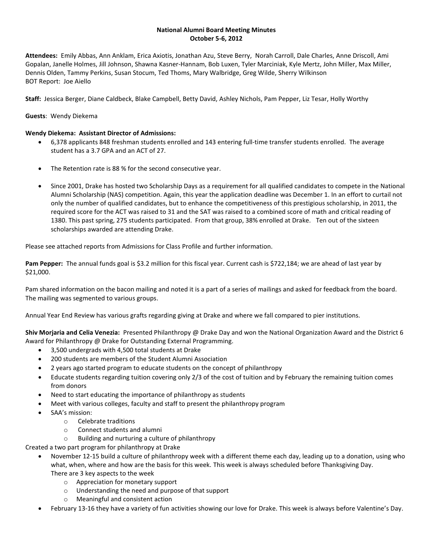#### **National Alumni Board Meeting Minutes October 5-6, 2012**

**Attendees:** Emily Abbas, Ann Anklam, Erica Axiotis, Jonathan Azu, Steve Berry, Norah Carroll, Dale Charles, Anne Driscoll, Ami Gopalan, Janelle Holmes, Jill Johnson, Shawna Kasner-Hannam, Bob Luxen, Tyler Marciniak, Kyle Mertz, John Miller, Max Miller, Dennis Olden, Tammy Perkins, Susan Stocum, Ted Thoms, Mary Walbridge, Greg Wilde, Sherry Wilkinson BOT Report: Joe Aiello

**Staff:** Jessica Berger, Diane Caldbeck, Blake Campbell, Betty David, Ashley Nichols, Pam Pepper, Liz Tesar, Holly Worthy

## **Guests**: Wendy Diekema

## **Wendy Diekema: Assistant Director of Admissions:**

- 6,378 applicants 848 freshman students enrolled and 143 entering full-time transfer students enrolled. The average student has a 3.7 GPA and an ACT of 27.
- The Retention rate is 88 % for the second consecutive year.
- Since 2001, Drake has hosted two Scholarship Days as a requirement for all qualified candidates to compete in the National Alumni Scholarship (NAS) competition. Again, this year the application deadline was December 1. In an effort to curtail not only the number of qualified candidates, but to enhance the competitiveness of this prestigious scholarship, in 2011, the required score for the ACT was raised to 31 and the SAT was raised to a combined score of math and critical reading of 1380. This past spring, 275 students participated. From that group, 38% enrolled at Drake. Ten out of the sixteen scholarships awarded are attending Drake.

Please see attached reports from Admissions for Class Profile and further information.

**Pam Pepper:** The annual funds goal is \$3.2 million for this fiscal year. Current cash is \$722,184; we are ahead of last year by \$21,000.

Pam shared information on the bacon mailing and noted it is a part of a series of mailings and asked for feedback from the board. The mailing was segmented to various groups.

Annual Year End Review has various grafts regarding giving at Drake and where we fall compared to pier institutions.

**Shiv Morjaria and Celia Venezia:** Presented Philanthropy @ Drake Day and won the National Organization Award and the District 6 Award for Philanthropy @ Drake for Outstanding External Programming.

- 3,500 undergrads with 4,500 total students at Drake
- 200 students are members of the Student Alumni Association
- 2 years ago started program to educate students on the concept of philanthropy
- Educate students regarding tuition covering only 2/3 of the cost of tuition and by February the remaining tuition comes from donors
- Need to start educating the importance of philanthropy as students
- Meet with various colleges, faculty and staff to present the philanthropy program
- SAA's mission:
	- o Celebrate traditions
	- o Connect students and alumni
	- o Building and nurturing a culture of philanthropy

Created a two part program for philanthropy at Drake

- November 12-15 build a culture of philanthropy week with a different theme each day, leading up to a donation, using who what, when, where and how are the basis for this week. This week is always scheduled before Thanksgiving Day. There are 3 key aspects to the week
	- o Appreciation for monetary support
	- o Understanding the need and purpose of that support
	- o Meaningful and consistent action
- February 13-16 they have a variety of fun activities showing our love for Drake. This week is always before Valentine's Day.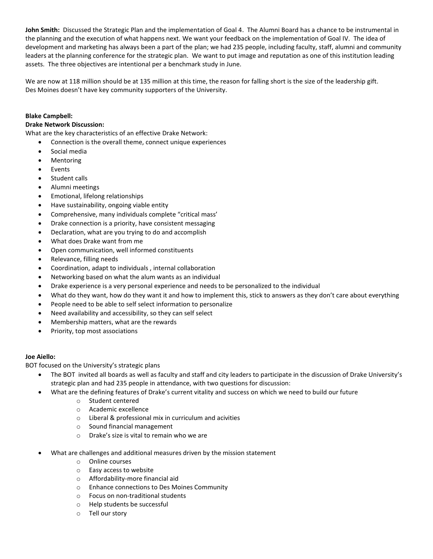**John Smith:** Discussed the Strategic Plan and the implementation of Goal 4. The Alumni Board has a chance to be instrumental in the planning and the execution of what happens next. We want your feedback on the implementation of Goal IV. The idea of development and marketing has always been a part of the plan; we had 235 people, including faculty, staff, alumni and community leaders at the planning conference for the strategic plan. We want to put image and reputation as one of this institution leading assets. The three objectives are intentional per a benchmark study in June.

We are now at 118 million should be at 135 million at this time, the reason for falling short is the size of the leadership gift. Des Moines doesn't have key community supporters of the University.

### **Blake Campbell:**

#### **Drake Network Discussion:**

What are the key characteristics of an effective Drake Network:

- Connection is the overall theme, connect unique experiences
- Social media
- Mentoring
- Events
- Student calls
- Alumni meetings
- Emotional, lifelong relationships
- Have sustainability, ongoing viable entity
- Comprehensive, many individuals complete "critical mass'
- Drake connection is a priority, have consistent messaging
- Declaration, what are you trying to do and accomplish
- What does Drake want from me
- Open communication, well informed constituents
- Relevance, filling needs
- Coordination, adapt to individuals , internal collaboration
- Networking based on what the alum wants as an individual
- Drake experience is a very personal experience and needs to be personalized to the individual
- What do they want, how do they want it and how to implement this, stick to answers as they don't care about everything
- People need to be able to self select information to personalize
- Need availability and accessibility, so they can self select
- Membership matters, what are the rewards
- Priority, top most associations

#### **Joe Aiello:**

BOT focused on the University's strategic plans

- The BOT invited all boards as well as faculty and staff and city leaders to participate in the discussion of Drake University's strategic plan and had 235 people in attendance, with two questions for discussion:
	- What are the defining features of Drake's current vitality and success on which we need to build our future
		- o Student centered
		- o Academic excellence
		- o Liberal & professional mix in curriculum and acivities
		- o Sound financial management
		- o Drake's size is vital to remain who we are
- What are challenges and additional measures driven by the mission statement
	- o Online courses
	- o Easy access to website
	- o Affordability-more financial aid
	- o Enhance connections to Des Moines Community
	- o Focus on non-traditional students
	- o Help students be successful
	- o Tell our story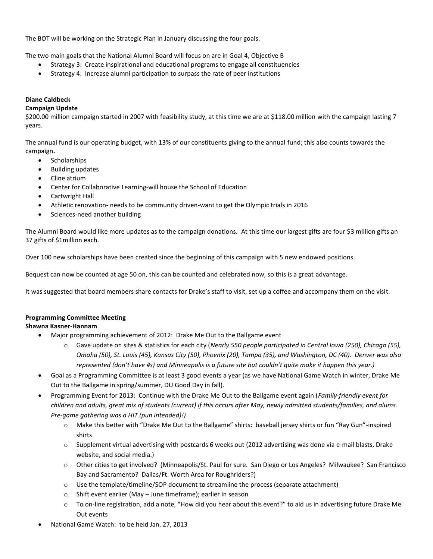The BOT will be working on the Strategic Plan in January discussing the four goals.

The two main goals that the National Alumni Board will focus on are in Goal 4, Objective B

- Strategy 3: Create inspirational and educational programs to engage all constituencies
- Strategy 4: Increase alumni participation to surpass the rate of peer institutions

## **Diane Caldbeck**

### **Campaign Update**

\$200.00 million campaign started in 2007 with feasibility study, at this time we are at \$118.00 million with the campaign lasting 7 years.

The annual fund is our operating budget, with 13% of our constituents giving to the annual fund; this also counts towards the campaign**.** 

- **Scholarships**
- Building updates
- Cline atrium
- Center for Collaborative Learning-will house the School of Education
- Cartwright Hall
- Athletic renovation- needs to be community driven-want to get the Olympic trials in 2016
- Sciences-need another building

The Alumni Board would like more updates as to the campaign donations. At this time our largest gifts are four \$3 million gifts an 37 gifts of \$1million each.

Over 100 new scholarships have been created since the beginning of this campaign with 5 new endowed positions.

Bequest can now be counted at age 50 on, this can be counted and celebrated now, so this is a great advantage.

It was suggested that board members share contacts for Drake's staff to visit, set up a coffee and accompany them on the visit.

# **Programming Committee Meeting**

### **Shawna Kasner-Hannam**

- Major programming achievement of 2012: Drake Me Out to the Ballgame event
	- o Gave update on sites & statistics for each city (*Nearly 550 people participated in Central Iowa (250), Chicago (55), Omaha (50), St. Louis (45), Kansas City (50), Phoenix (20), Tampa (35), and Washington, DC (40). Denver was also represented (don't have #s) and Minneapolis is a future site but couldn't quite make it happen this year.)*
- Goal as a Programming Committee is at least 3 good events a year (as we have National Game Watch in winter, Drake Me Out to the Ballgame in spring/summer, DU Good Day in fall).
- Programming Event for 2013: Continue with the Drake Me Out to the Ballgame event again (*Family-friendly event for children and adults, great mix of students (current) if this occurs after May, newly admitted students/families, and alums. Pre-game gathering was a HIT (pun intended)!)*
	- o Make this better with "Drake Me Out to the Ballgame" shirts: baseball jersey shirts or fun "Ray Gun"-inspired shirts
	- $\circ$  Supplement virtual advertising with postcards 6 weeks out (2012 advertising was done via e-mail blasts, Drake website, and social media.)
	- o Other cities to get involved? (Minneapolis/St. Paul for sure. San Diego or Los Angeles? Milwaukee? San Francisco Bay and Sacramento? Dallas/Ft. Worth Area for Roughriders?)
	- o Use the template/timeline/SOP document to streamline the process (separate attachment)
	- o Shift event earlier (May June timeframe); earlier in season
	- o To on-line registration, add a note, "How did you hear about this event?" to aid us in advertising future Drake Me Out events
- National Game Watch: to be held Jan. 27, 2013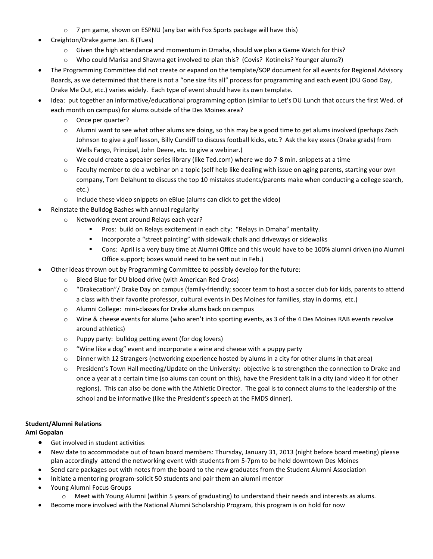- $\circ$  7 pm game, shown on ESPNU (any bar with Fox Sports package will have this)
- Creighton/Drake game Jan. 8 (Tues)
	- $\circ$  Given the high attendance and momentum in Omaha, should we plan a Game Watch for this?
	- o Who could Marisa and Shawna get involved to plan this? (Covis? Kotineks? Younger alums?)
- The Programming Committee did not create or expand on the template/SOP document for all events for Regional Advisory Boards, as we determined that there is not a "one size fits all" process for programming and each event (DU Good Day, Drake Me Out, etc.) varies widely. Each type of event should have its own template.
- Idea: put together an informative/educational programming option (similar to Let's DU Lunch that occurs the first Wed. of each month on campus) for alums outside of the Des Moines area?
	- o Once per quarter?
	- o Alumni want to see what other alums are doing, so this may be a good time to get alums involved (perhaps Zach Johnson to give a golf lesson, Billy Cundiff to discuss football kicks, etc.? Ask the key execs (Drake grads) from Wells Fargo, Principal, John Deere, etc. to give a webinar.)
	- o We could create a speaker series library (like Ted.com) where we do 7-8 min. snippets at a time
	- o Faculty member to do a webinar on a topic (self help like dealing with issue on aging parents, starting your own company, Tom Delahunt to discuss the top 10 mistakes students/parents make when conducting a college search, etc.)
	- o Include these video snippets on eBlue (alums can click to get the video)
- Reinstate the Bulldog Bashes with annual regularity
	- o Networking event around Relays each year?
		- Pros: build on Relays excitement in each city: "Relays in Omaha" mentality.
		- **Incorporate a "street painting" with sidewalk chalk and driveways or sidewalks**
		- Cons: April is a very busy time at Alumni Office and this would have to be 100% alumni driven (no Alumni Office support; boxes would need to be sent out in Feb.)
- Other ideas thrown out by Programming Committee to possibly develop for the future:
	- o Bleed Blue for DU blood drive (with American Red Cross)
	- o "Drakecation"/ Drake Day on campus (family-friendly; soccer team to host a soccer club for kids, parents to attend a class with their favorite professor, cultural events in Des Moines for families, stay in dorms, etc.)
	- o Alumni College: mini-classes for Drake alums back on campus
	- o Wine & cheese events for alums (who aren't into sporting events, as 3 of the 4 Des Moines RAB events revolve around athletics)
	- o Puppy party: bulldog petting event (for dog lovers)
	- o "Wine like a dog" event and incorporate a wine and cheese with a puppy party
	- o Dinner with 12 Strangers (networking experience hosted by alums in a city for other alums in that area)
	- o President's Town Hall meeting/Update on the University: objective is to strengthen the connection to Drake and once a year at a certain time (so alums can count on this), have the President talk in a city (and video it for other regions). This can also be done with the Athletic Director. The goal is to connect alums to the leadership of the school and be informative (like the President's speech at the FMDS dinner).

# **Student/Alumni Relations**

# **Ami Gopalan**

- **•** Get involved in student activities
- New date to accommodate out of town board members: Thursday, January 31, 2013 (night before board meeting) please plan accordingly attend the networking event with students from 5-7pm to be held downtown Des Moines
- Send care packages out with notes from the board to the new graduates from the Student Alumni Association
- Initiate a mentoring program-solicit 50 students and pair them an alumni mentor
- Young Alumni Focus Groups
	- o Meet with Young Alumni (within 5 years of graduating) to understand their needs and interests as alums.
- Become more involved with the National Alumni Scholarship Program, this program is on hold for now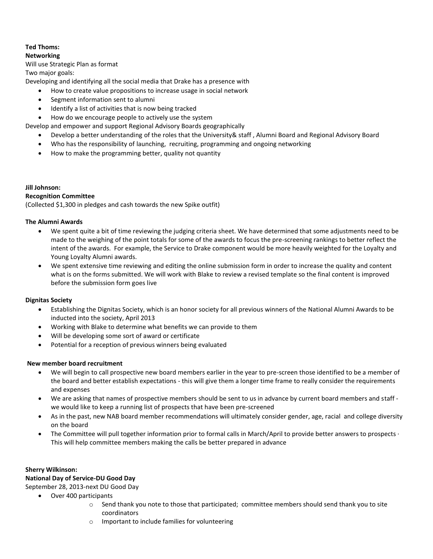# **Ted Thoms:**

## **Networking**

#### Will use Strategic Plan as format

Two major goals:

Developing and identifying all the social media that Drake has a presence with

- How to create value propositions to increase usage in social network
- Segment information sent to alumni
- Identify a list of activities that is now being tracked

How do we encourage people to actively use the system

Develop and empower and support Regional Advisory Boards geographically

- Develop a better understanding of the roles that the University& staff , Alumni Board and Regional Advisory Board
- Who has the responsibility of launching, recruiting, programming and ongoing networking
- How to make the programming better, quality not quantity

# **Jill Johnson:**

### **Recognition Committee**

(Collected \$1,300 in pledges and cash towards the new Spike outfit)

#### **The Alumni Awards**

- We spent quite a bit of time reviewing the judging criteria sheet. We have determined that some adjustments need to be made to the weighing of the point totals for some of the awards to focus the pre-screening rankings to better reflect the intent of the awards. For example, the Service to Drake component would be more heavily weighted for the Loyalty and Young Loyalty Alumni awards.
- We spent extensive time reviewing and editing the online submission form in order to increase the quality and content what is on the forms submitted. We will work with Blake to review a revised template so the final content is improved before the submission form goes live

### **Dignitas Society**

- Establishing the Dignitas Society, which is an honor society for all previous winners of the National Alumni Awards to be inducted into the society, April 2013
- Working with Blake to determine what benefits we can provide to them
- Will be developing some sort of award or certificate
- Potential for a reception of previous winners being evaluated

### **New member board recruitment**

- We will begin to call prospective new board members earlier in the year to pre-screen those identified to be a member of the board and better establish expectations - this will give them a longer time frame to really consider the requirements and expenses
- We are asking that names of prospective members should be sent to us in advance by current board members and staff we would like to keep a running list of prospects that have been pre-screened
- As in the past, new NAB board member recommendations will ultimately consider gender, age, racial and college diversity on the board
- The Committee will pull together information prior to formal calls in March/April to provide better answers to prospects · This will help committee members making the calls be better prepared in advance

### **Sherry Wilkinson:**

### **National Day of Service-DU Good Day**

- September 28, 2013-next DU Good Day
	- Over 400 participants
		- o Send thank you note to those that participated; committee members should send thank you to site coordinators
		- o Important to include families for volunteering